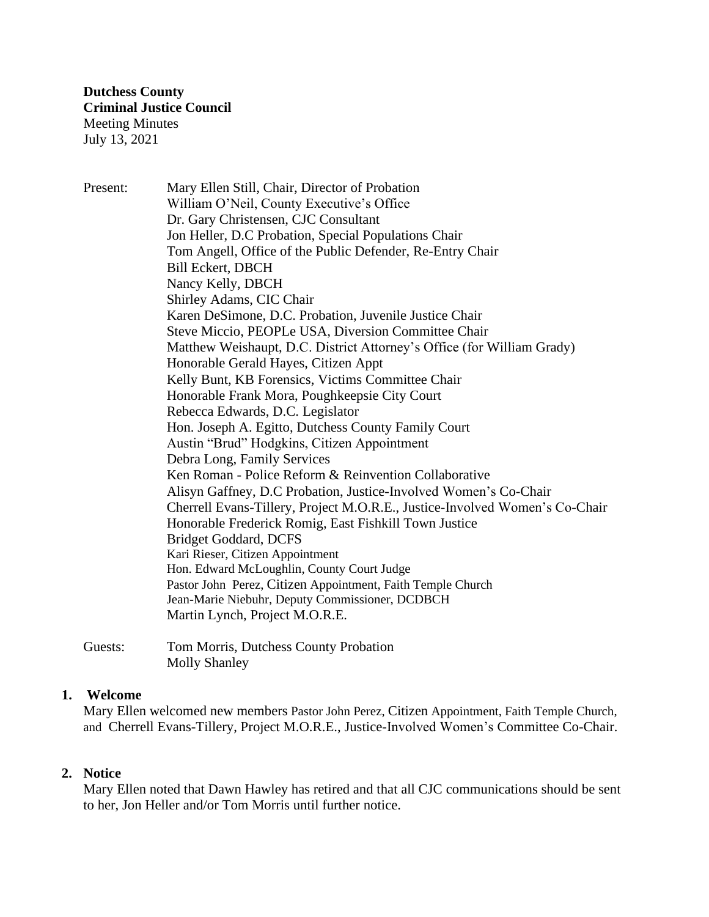Present: Mary Ellen Still, Chair, Director of Probation William O'Neil, County Executive's Office Dr. Gary Christensen, CJC Consultant Jon Heller, D.C Probation, Special Populations Chair Tom Angell, Office of the Public Defender, Re-Entry Chair Bill Eckert, DBCH Nancy Kelly, DBCH Shirley Adams, CIC Chair Karen DeSimone, D.C. Probation, Juvenile Justice Chair Steve Miccio, PEOPLe USA, Diversion Committee Chair Matthew Weishaupt, D.C. District Attorney's Office (for William Grady) Honorable Gerald Hayes, Citizen Appt Kelly Bunt, KB Forensics, Victims Committee Chair Honorable Frank Mora, Poughkeepsie City Court Rebecca Edwards, D.C. Legislator Hon. Joseph A. Egitto, Dutchess County Family Court Austin "Brud" Hodgkins, Citizen Appointment Debra Long, Family Services Ken Roman - Police Reform & Reinvention Collaborative Alisyn Gaffney, D.C Probation, Justice-Involved Women's Co-Chair Cherrell Evans-Tillery, Project M.O.R.E., Justice-Involved Women's Co-Chair Honorable Frederick Romig, East Fishkill Town Justice Bridget Goddard, DCFS Kari Rieser, Citizen Appointment Hon. Edward McLoughlin, County Court Judge Pastor John Perez, Citizen Appointment, Faith Temple Church Jean-Marie Niebuhr, Deputy Commissioner, DCDBCH Martin Lynch, Project M.O.R.E.

Guests: Tom Morris, Dutchess County Probation Molly Shanley

# **1. Welcome**

Mary Ellen welcomed new members Pastor John Perez, Citizen Appointment, Faith Temple Church, and Cherrell Evans-Tillery, Project M.O.R.E., Justice-Involved Women's Committee Co-Chair.

# **2. Notice**

Mary Ellen noted that Dawn Hawley has retired and that all CJC communications should be sent to her, Jon Heller and/or Tom Morris until further notice.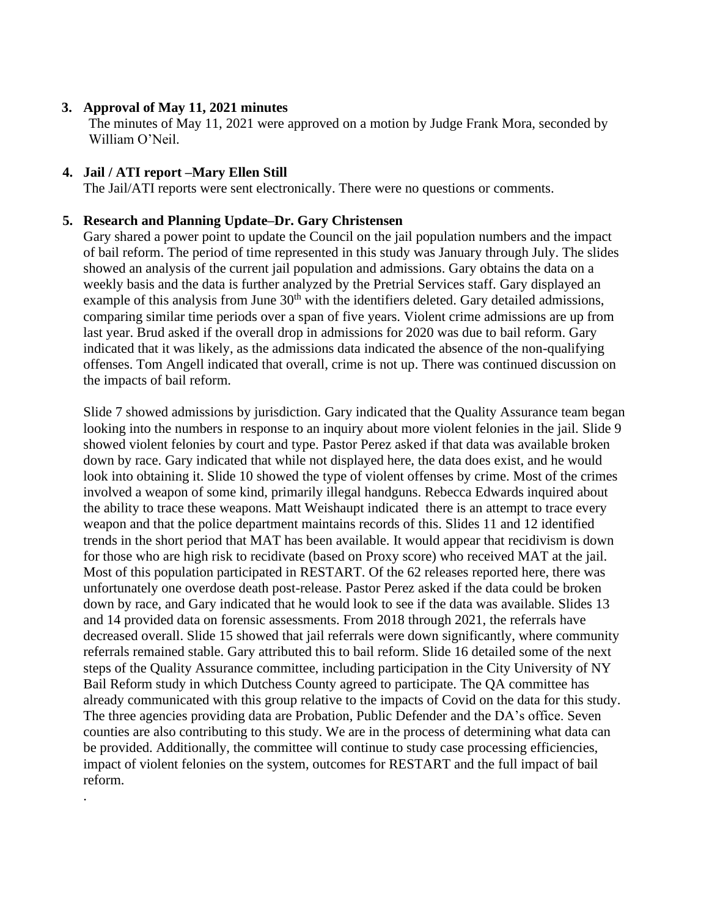### **3. Approval of May 11, 2021 minutes**

The minutes of May 11, 2021 were approved on a motion by Judge Frank Mora, seconded by William O'Neil.

#### **4. Jail / ATI report –Mary Ellen Still**

.

The Jail/ATI reports were sent electronically. There were no questions or comments.

#### **5. Research and Planning Update–Dr. Gary Christensen**

Gary shared a power point to update the Council on the jail population numbers and the impact of bail reform. The period of time represented in this study was January through July. The slides showed an analysis of the current jail population and admissions. Gary obtains the data on a weekly basis and the data is further analyzed by the Pretrial Services staff. Gary displayed an example of this analysis from June  $30<sup>th</sup>$  with the identifiers deleted. Gary detailed admissions, comparing similar time periods over a span of five years. Violent crime admissions are up from last year. Brud asked if the overall drop in admissions for 2020 was due to bail reform. Gary indicated that it was likely, as the admissions data indicated the absence of the non-qualifying offenses. Tom Angell indicated that overall, crime is not up. There was continued discussion on the impacts of bail reform.

Slide 7 showed admissions by jurisdiction. Gary indicated that the Quality Assurance team began looking into the numbers in response to an inquiry about more violent felonies in the jail. Slide 9 showed violent felonies by court and type. Pastor Perez asked if that data was available broken down by race. Gary indicated that while not displayed here, the data does exist, and he would look into obtaining it. Slide 10 showed the type of violent offenses by crime. Most of the crimes involved a weapon of some kind, primarily illegal handguns. Rebecca Edwards inquired about the ability to trace these weapons. Matt Weishaupt indicated there is an attempt to trace every weapon and that the police department maintains records of this. Slides 11 and 12 identified trends in the short period that MAT has been available. It would appear that recidivism is down for those who are high risk to recidivate (based on Proxy score) who received MAT at the jail. Most of this population participated in RESTART. Of the 62 releases reported here, there was unfortunately one overdose death post-release. Pastor Perez asked if the data could be broken down by race, and Gary indicated that he would look to see if the data was available. Slides 13 and 14 provided data on forensic assessments. From 2018 through 2021, the referrals have decreased overall. Slide 15 showed that jail referrals were down significantly, where community referrals remained stable. Gary attributed this to bail reform. Slide 16 detailed some of the next steps of the Quality Assurance committee, including participation in the City University of NY Bail Reform study in which Dutchess County agreed to participate. The QA committee has already communicated with this group relative to the impacts of Covid on the data for this study. The three agencies providing data are Probation, Public Defender and the DA's office. Seven counties are also contributing to this study. We are in the process of determining what data can be provided. Additionally, the committee will continue to study case processing efficiencies, impact of violent felonies on the system, outcomes for RESTART and the full impact of bail reform.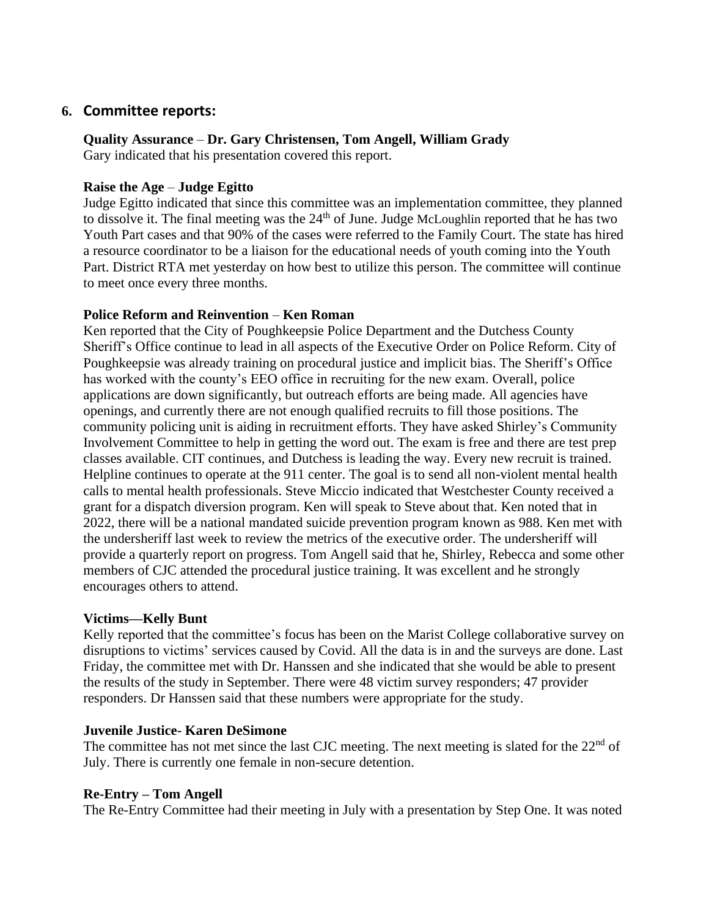# **6. Committee reports:**

### **Quality Assurance** – **Dr. Gary Christensen, Tom Angell, William Grady**

Gary indicated that his presentation covered this report.

### **Raise the Age** – **Judge Egitto**

Judge Egitto indicated that since this committee was an implementation committee, they planned to dissolve it. The final meeting was the 24<sup>th</sup> of June. Judge McLoughlin reported that he has two Youth Part cases and that 90% of the cases were referred to the Family Court. The state has hired a resource coordinator to be a liaison for the educational needs of youth coming into the Youth Part. District RTA met yesterday on how best to utilize this person. The committee will continue to meet once every three months.

### **Police Reform and Reinvention** – **Ken Roman**

Ken reported that the City of Poughkeepsie Police Department and the Dutchess County Sheriff's Office continue to lead in all aspects of the Executive Order on Police Reform. City of Poughkeepsie was already training on procedural justice and implicit bias. The Sheriff's Office has worked with the county's EEO office in recruiting for the new exam. Overall, police applications are down significantly, but outreach efforts are being made. All agencies have openings, and currently there are not enough qualified recruits to fill those positions. The community policing unit is aiding in recruitment efforts. They have asked Shirley's Community Involvement Committee to help in getting the word out. The exam is free and there are test prep classes available. CIT continues, and Dutchess is leading the way. Every new recruit is trained. Helpline continues to operate at the 911 center. The goal is to send all non-violent mental health calls to mental health professionals. Steve Miccio indicated that Westchester County received a grant for a dispatch diversion program. Ken will speak to Steve about that. Ken noted that in 2022, there will be a national mandated suicide prevention program known as 988. Ken met with the undersheriff last week to review the metrics of the executive order. The undersheriff will provide a quarterly report on progress. Tom Angell said that he, Shirley, Rebecca and some other members of CJC attended the procedural justice training. It was excellent and he strongly encourages others to attend.

### **Victims—Kelly Bunt**

Kelly reported that the committee's focus has been on the Marist College collaborative survey on disruptions to victims' services caused by Covid. All the data is in and the surveys are done. Last Friday, the committee met with Dr. Hanssen and she indicated that she would be able to present the results of the study in September. There were 48 victim survey responders; 47 provider responders. Dr Hanssen said that these numbers were appropriate for the study.

### **Juvenile Justice- Karen DeSimone**

The committee has not met since the last CJC meeting. The next meeting is slated for the  $22<sup>nd</sup>$  of July. There is currently one female in non-secure detention.

### **Re-Entry – Tom Angell**

The Re-Entry Committee had their meeting in July with a presentation by Step One. It was noted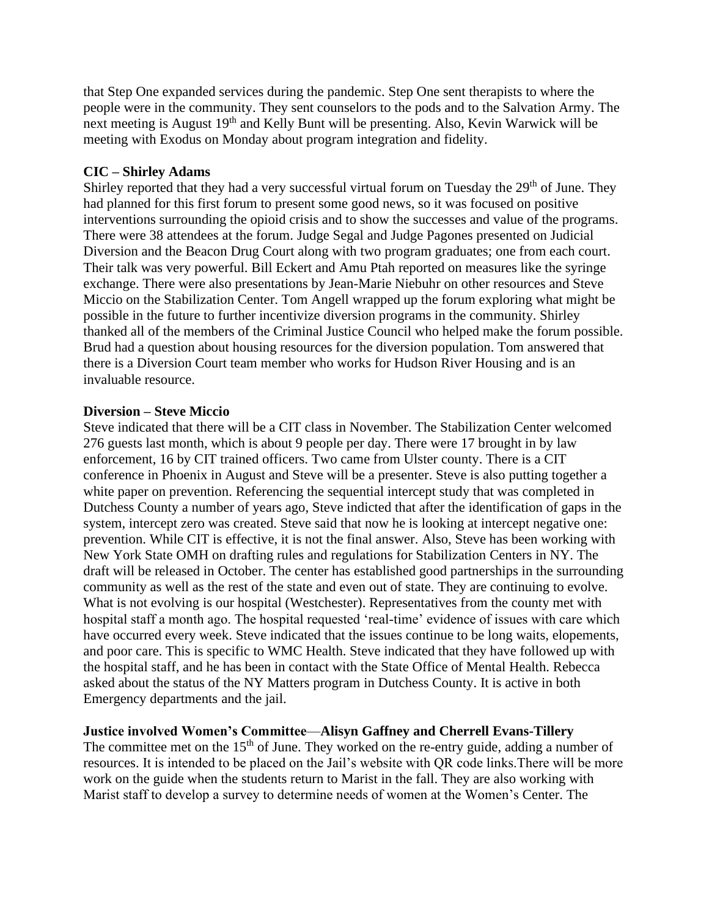that Step One expanded services during the pandemic. Step One sent therapists to where the people were in the community. They sent counselors to the pods and to the Salvation Army. The next meeting is August 19th and Kelly Bunt will be presenting. Also, Kevin Warwick will be meeting with Exodus on Monday about program integration and fidelity.

### **CIC – Shirley Adams**

Shirley reported that they had a very successful virtual forum on Tuesday the  $29<sup>th</sup>$  of June. They had planned for this first forum to present some good news, so it was focused on positive interventions surrounding the opioid crisis and to show the successes and value of the programs. There were 38 attendees at the forum. Judge Segal and Judge Pagones presented on Judicial Diversion and the Beacon Drug Court along with two program graduates; one from each court. Their talk was very powerful. Bill Eckert and Amu Ptah reported on measures like the syringe exchange. There were also presentations by Jean-Marie Niebuhr on other resources and Steve Miccio on the Stabilization Center. Tom Angell wrapped up the forum exploring what might be possible in the future to further incentivize diversion programs in the community. Shirley thanked all of the members of the Criminal Justice Council who helped make the forum possible. Brud had a question about housing resources for the diversion population. Tom answered that there is a Diversion Court team member who works for Hudson River Housing and is an invaluable resource.

### **Diversion – Steve Miccio**

Steve indicated that there will be a CIT class in November. The Stabilization Center welcomed 276 guests last month, which is about 9 people per day. There were 17 brought in by law enforcement, 16 by CIT trained officers. Two came from Ulster county. There is a CIT conference in Phoenix in August and Steve will be a presenter. Steve is also putting together a white paper on prevention. Referencing the sequential intercept study that was completed in Dutchess County a number of years ago, Steve indicted that after the identification of gaps in the system, intercept zero was created. Steve said that now he is looking at intercept negative one: prevention. While CIT is effective, it is not the final answer. Also, Steve has been working with New York State OMH on drafting rules and regulations for Stabilization Centers in NY. The draft will be released in October. The center has established good partnerships in the surrounding community as well as the rest of the state and even out of state. They are continuing to evolve. What is not evolving is our hospital (Westchester). Representatives from the county met with hospital staff a month ago. The hospital requested 'real-time' evidence of issues with care which have occurred every week. Steve indicated that the issues continue to be long waits, elopements, and poor care. This is specific to WMC Health. Steve indicated that they have followed up with the hospital staff, and he has been in contact with the State Office of Mental Health. Rebecca asked about the status of the NY Matters program in Dutchess County. It is active in both Emergency departments and the jail.

### **Justice involved Women's Committee**—**Alisyn Gaffney and Cherrell Evans-Tillery**

The committee met on the  $15<sup>th</sup>$  of June. They worked on the re-entry guide, adding a number of resources. It is intended to be placed on the Jail's website with QR code links.There will be more work on the guide when the students return to Marist in the fall. They are also working with Marist staff to develop a survey to determine needs of women at the Women's Center. The